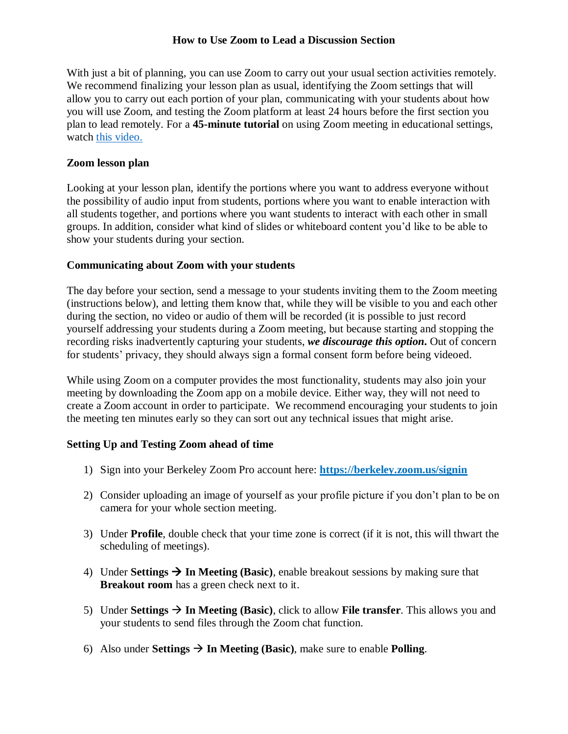## **How to Use Zoom to Lead a Discussion Section**

With just a bit of planning, you can use Zoom to carry out your usual section activities remotely. We recommend finalizing your lesson plan as usual, identifying the Zoom settings that will allow you to carry out each portion of your plan, communicating with your students about how you will use Zoom, and testing the Zoom platform at least 24 hours before the first section you plan to lead remotely. For a **45-minute tutorial** on using Zoom meeting in educational settings, watch [this video.](https://berkeley.zoom.us/rec/play/vJR5d-j5q283HNGcsgSDV_5wW9Tpe_qs0CVM_PIEmknkVnAAYVGlZuMaZ7NAORKJB_fFeWJ9L4d5ilrn?continueMode=true)

## **Zoom lesson plan**

Looking at your lesson plan, identify the portions where you want to address everyone without the possibility of audio input from students, portions where you want to enable interaction with all students together, and portions where you want students to interact with each other in small groups. In addition, consider what kind of slides or whiteboard content you'd like to be able to show your students during your section.

## **Communicating about Zoom with your students**

The day before your section, send a message to your students inviting them to the Zoom meeting (instructions below), and letting them know that, while they will be visible to you and each other during the section, no video or audio of them will be recorded (it is possible to just record yourself addressing your students during a Zoom meeting, but because starting and stopping the recording risks inadvertently capturing your students, *we discourage this option***.** Out of concern for students' privacy, they should always sign a formal consent form before being videoed.

While using Zoom on a computer provides the most functionality, students may also join your meeting by downloading the Zoom app on a mobile device. Either way, they will not need to create a Zoom account in order to participate. We recommend encouraging your students to join the meeting ten minutes early so they can sort out any technical issues that might arise.

# **Setting Up and Testing Zoom ahead of time**

- 1) Sign into your Berkeley Zoom Pro account here: **<https://berkeley.zoom.us/signin>**
- 2) Consider uploading an image of yourself as your profile picture if you don't plan to be on camera for your whole section meeting.
- 3) Under **Profile**, double check that your time zone is correct (if it is not, this will thwart the scheduling of meetings).
- 4) Under **Settings**  $\rightarrow$  **In Meeting (Basic)**, enable breakout sessions by making sure that **Breakout room** has a green check next to it.
- 5) Under **Settings**  $\rightarrow$  In Meeting (Basic), click to allow **File transfer**. This allows you and your students to send files through the Zoom chat function.
- 6) Also under **Settings**  $\rightarrow$  **In Meeting (Basic)**, make sure to enable **Polling**.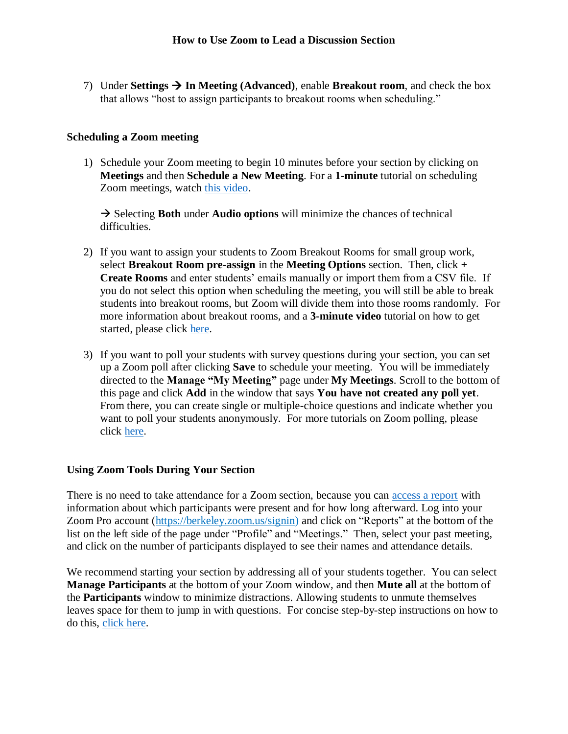7) Under **Settings**  $\rightarrow$  **In Meeting (Advanced)**, enable **Breakout room**, and check the box that allows "host to assign participants to breakout rooms when scheduling."

#### **Scheduling a Zoom meeting**

1) Schedule your Zoom meeting to begin 10 minutes before your section by clicking on **Meetings** and then **Schedule a New Meeting**. For a **1-minute** tutorial on scheduling Zoom meetings, watch [this video.](https://www.youtube.com/embed/ZAYv8sVPTxU?rel=0&autoplay=1&cc_load_policy=1)

 $\rightarrow$  Selecting **Both** under **Audio options** will minimize the chances of technical difficulties.

- 2) If you want to assign your students to Zoom Breakout Rooms for small group work, select **Breakout Room pre-assign** in the **Meeting Options** section. Then, click **+ Create Rooms** and enter students' emails manually or import them from a CSV file. If you do not select this option when scheduling the meeting, you will still be able to break students into breakout rooms, but Zoom will divide them into those rooms randomly. For more information about breakout rooms, and a **3-minute video** tutorial on how to get started, please click [here.](https://support.zoom.us/hc/en-us/articles/206476313-Managing-Video-Breakout-Rooms)
- 3) If you want to poll your students with survey questions during your section, you can set up a Zoom poll after clicking **Save** to schedule your meeting. You will be immediately directed to the **Manage "My Meeting"** page under **My Meetings**. Scroll to the bottom of this page and click **Add** in the window that says **You have not created any poll yet**. From there, you can create single or multiple-choice questions and indicate whether you want to poll your students anonymously. For more tutorials on Zoom polling, please click [here.](https://support.zoom.us/hc/en-us/articles/213756303-Polling-for-Meetings)

#### **Using Zoom Tools During Your Section**

There is no need to take attendance for a Zoom section, because you can [access a report](https://support.zoom.us/hc/en-us/articles/201363213-Getting-started-with-reports#h_bc217d36-e79e-4e10-bfae-48c2b7b3c97e) with information about which participants were present and for how long afterward. Log into your Zoom Pro account [\(https://berkeley.zoom.us/signin\)](https://berkeley.zoom.us/signin) and click on "Reports" at the bottom of the list on the left side of the page under "Profile" and "Meetings." Then, select your past meeting, and click on the number of participants displayed to see their names and attendance details.

We recommend starting your section by addressing all of your students together. You can select **Manage Participants** at the bottom of your Zoom window, and then **Mute all** at the bottom of the **Participants** window to minimize distractions. Allowing students to unmute themselves leaves space for them to jump in with questions. For concise step-by-step instructions on how to do this, [click here.](https://support.zoom.us/hc/en-us/articles/203435537-Mute-All-And-Unmute-All)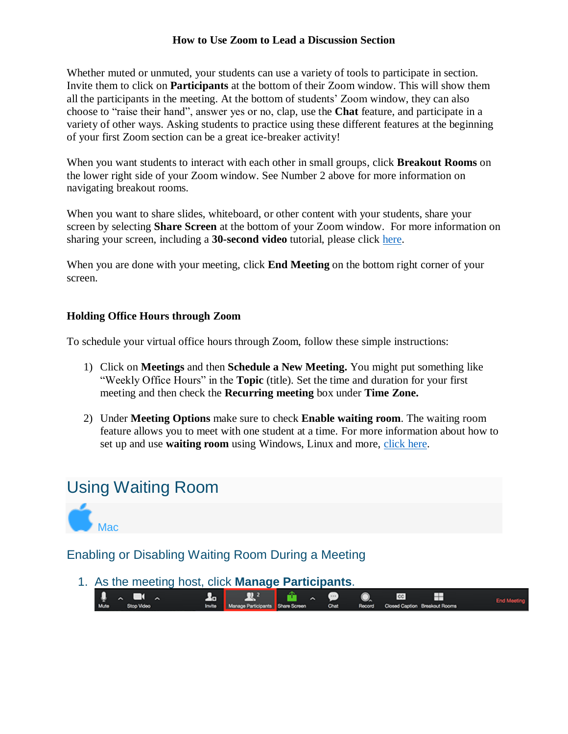# **How to Use Zoom to Lead a Discussion Section**

Whether muted or unmuted, your students can use a variety of tools to participate in section. Invite them to click on **Participants** at the bottom of their Zoom window. This will show them all the participants in the meeting. At the bottom of students' Zoom window, they can also choose to "raise their hand", answer yes or no, clap, use the **Chat** feature, and participate in a variety of other ways. Asking students to practice using these different features at the beginning of your first Zoom section can be a great ice-breaker activity!

When you want students to interact with each other in small groups, click **Breakout Rooms** on the lower right side of your Zoom window. See Number 2 above for more information on navigating breakout rooms.

When you want to share slides, whiteboard, or other content with your students, share your screen by selecting **Share Screen** at the bottom of your Zoom window. For more information on sharing your screen, including a **30-second video** tutorial, please click [here.](https://support.zoom.us/hc/en-us/articles/201362153-How-Do-I-Share-My-Screen-)

When you are done with your meeting, click **End Meeting** on the bottom right corner of your screen.

# **Holding Office Hours through Zoom**

To schedule your virtual office hours through Zoom, follow these simple instructions:

- 1) Click on **Meetings** and then **Schedule a New Meeting.** You might put something like "Weekly Office Hours" in the **Topic** (title). Set the time and duration for your first meeting and then check the **Recurring meeting** box under **Time Zone.**
- 2) Under **Meeting Options** make sure to check **Enable waiting room**. The waiting room feature allows you to meet with one student at a time. For more information about how to set up and use **waiting room** using Windows, Linux and more, [click here.](https://support.zoom.us/hc/en-us/articles/115000332726-Waiting-Room#h_43744903-a4bb-438f-b39a-f10c3df84b04)

# Using Waiting Room



Enabling or Disabling Waiting Room During a Meeting

1. As the meeting host, click **Manage Participants**.

| $\mathbf{0}$ $\mathbf{0}$ $\mathbf{0}$ $\mathbf{0}$ |  |  |                                                                                   |  |
|-----------------------------------------------------|--|--|-----------------------------------------------------------------------------------|--|
| Mute Stop Video                                     |  |  | Invite Manage Participants Share Screen Chat Record Closed Caption Breakout Rooms |  |